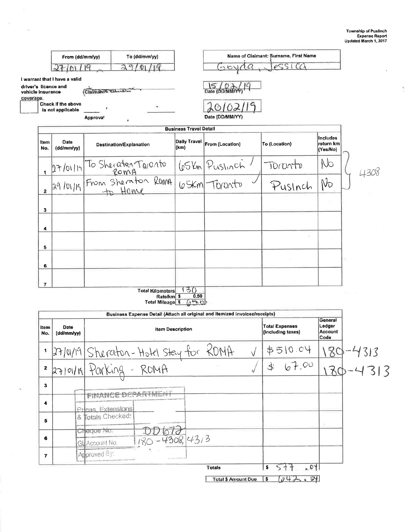Ň

| Name of Claimant: Surname, First Name<br>To (dd/mm/yy)<br>From (dd/mm/yy)<br>eSSI<br>$\mathcal{C}\mathcal{C}$<br>Q<br>ల<br>Claimante Sidentific<br>Date (DD/MM/Y<br><b>Check if the above</b><br>©Ι<br>is not applicable<br>Date (DD/MM/YY)<br>Approva!<br><b>Business Travel Detail</b><br>Includes<br><b>Daily Travel</b><br><b>Date</b><br><b>Item</b><br>return km<br>From (Location)<br>To (Location)<br>Destination/Explanation<br>(km)<br>(dd/mm/yy)<br>No.<br>(Yes/No)<br>NO<br>27/01/14 To Sherater Toronto<br>29/01/19 From Sherator Roma<br>29/01/19 From Sherator Roma<br>65Km Puslinch<br>TOMONTO<br>$\mathbf{1}$<br>No<br>Pusinch<br>$\overline{2}$<br>з<br>4<br>5<br>6<br>$\overline{ }$<br>130<br><b>Total Kilometers</b><br>0.50<br>Rate/km \$<br>650<br><b>Total Mileage \$</b><br>Business Expense Detail (Attach all original and itemized invoices/receipts)<br>General<br>Ledger<br><b>Total Expenses</b><br><b>Date</b><br>ltem<br><b>Item Description</b><br>Account<br>(including taxes)<br>(dd/mm/yy)<br>No.<br>Code<br>27/01/19 Sheraton-Hotel Stay for ROMA<br>\$510.04<br>$\sqrt{}$<br>67.00<br>27/01/19 Parking - ROMA<br>\$<br>$\mathbf{z}$<br>3<br><b>FINANCE DEPARTMENT</b><br>4<br>Pricas, Extensions<br>& Totals Checked:<br>5<br>Cheque No.<br>$\frac{DD672}{180-4308,43.3}$<br>6<br>GL Account No.<br>Approved 8y:<br>7<br>577<br>.01<br>\$<br><b>Totals</b> |  |  |  |  |       |
|---------------------------------------------------------------------------------------------------------------------------------------------------------------------------------------------------------------------------------------------------------------------------------------------------------------------------------------------------------------------------------------------------------------------------------------------------------------------------------------------------------------------------------------------------------------------------------------------------------------------------------------------------------------------------------------------------------------------------------------------------------------------------------------------------------------------------------------------------------------------------------------------------------------------------------------------------------------------------------------------------------------------------------------------------------------------------------------------------------------------------------------------------------------------------------------------------------------------------------------------------------------------------------------------------------------------------------------------------------------------------------------------------|--|--|--|--|-------|
| I warrant that I have a valid                                                                                                                                                                                                                                                                                                                                                                                                                                                                                                                                                                                                                                                                                                                                                                                                                                                                                                                                                                                                                                                                                                                                                                                                                                                                                                                                                                     |  |  |  |  |       |
| driver's licence and<br>vehicle insurance<br>coverage.                                                                                                                                                                                                                                                                                                                                                                                                                                                                                                                                                                                                                                                                                                                                                                                                                                                                                                                                                                                                                                                                                                                                                                                                                                                                                                                                            |  |  |  |  |       |
|                                                                                                                                                                                                                                                                                                                                                                                                                                                                                                                                                                                                                                                                                                                                                                                                                                                                                                                                                                                                                                                                                                                                                                                                                                                                                                                                                                                                   |  |  |  |  |       |
| $180 - 4313$<br>130-4313                                                                                                                                                                                                                                                                                                                                                                                                                                                                                                                                                                                                                                                                                                                                                                                                                                                                                                                                                                                                                                                                                                                                                                                                                                                                                                                                                                          |  |  |  |  |       |
|                                                                                                                                                                                                                                                                                                                                                                                                                                                                                                                                                                                                                                                                                                                                                                                                                                                                                                                                                                                                                                                                                                                                                                                                                                                                                                                                                                                                   |  |  |  |  |       |
|                                                                                                                                                                                                                                                                                                                                                                                                                                                                                                                                                                                                                                                                                                                                                                                                                                                                                                                                                                                                                                                                                                                                                                                                                                                                                                                                                                                                   |  |  |  |  |       |
|                                                                                                                                                                                                                                                                                                                                                                                                                                                                                                                                                                                                                                                                                                                                                                                                                                                                                                                                                                                                                                                                                                                                                                                                                                                                                                                                                                                                   |  |  |  |  |       |
|                                                                                                                                                                                                                                                                                                                                                                                                                                                                                                                                                                                                                                                                                                                                                                                                                                                                                                                                                                                                                                                                                                                                                                                                                                                                                                                                                                                                   |  |  |  |  | i430i |
|                                                                                                                                                                                                                                                                                                                                                                                                                                                                                                                                                                                                                                                                                                                                                                                                                                                                                                                                                                                                                                                                                                                                                                                                                                                                                                                                                                                                   |  |  |  |  |       |
|                                                                                                                                                                                                                                                                                                                                                                                                                                                                                                                                                                                                                                                                                                                                                                                                                                                                                                                                                                                                                                                                                                                                                                                                                                                                                                                                                                                                   |  |  |  |  |       |
|                                                                                                                                                                                                                                                                                                                                                                                                                                                                                                                                                                                                                                                                                                                                                                                                                                                                                                                                                                                                                                                                                                                                                                                                                                                                                                                                                                                                   |  |  |  |  |       |
|                                                                                                                                                                                                                                                                                                                                                                                                                                                                                                                                                                                                                                                                                                                                                                                                                                                                                                                                                                                                                                                                                                                                                                                                                                                                                                                                                                                                   |  |  |  |  |       |
|                                                                                                                                                                                                                                                                                                                                                                                                                                                                                                                                                                                                                                                                                                                                                                                                                                                                                                                                                                                                                                                                                                                                                                                                                                                                                                                                                                                                   |  |  |  |  |       |
|                                                                                                                                                                                                                                                                                                                                                                                                                                                                                                                                                                                                                                                                                                                                                                                                                                                                                                                                                                                                                                                                                                                                                                                                                                                                                                                                                                                                   |  |  |  |  |       |
|                                                                                                                                                                                                                                                                                                                                                                                                                                                                                                                                                                                                                                                                                                                                                                                                                                                                                                                                                                                                                                                                                                                                                                                                                                                                                                                                                                                                   |  |  |  |  |       |
|                                                                                                                                                                                                                                                                                                                                                                                                                                                                                                                                                                                                                                                                                                                                                                                                                                                                                                                                                                                                                                                                                                                                                                                                                                                                                                                                                                                                   |  |  |  |  |       |
|                                                                                                                                                                                                                                                                                                                                                                                                                                                                                                                                                                                                                                                                                                                                                                                                                                                                                                                                                                                                                                                                                                                                                                                                                                                                                                                                                                                                   |  |  |  |  |       |
|                                                                                                                                                                                                                                                                                                                                                                                                                                                                                                                                                                                                                                                                                                                                                                                                                                                                                                                                                                                                                                                                                                                                                                                                                                                                                                                                                                                                   |  |  |  |  |       |
|                                                                                                                                                                                                                                                                                                                                                                                                                                                                                                                                                                                                                                                                                                                                                                                                                                                                                                                                                                                                                                                                                                                                                                                                                                                                                                                                                                                                   |  |  |  |  |       |
|                                                                                                                                                                                                                                                                                                                                                                                                                                                                                                                                                                                                                                                                                                                                                                                                                                                                                                                                                                                                                                                                                                                                                                                                                                                                                                                                                                                                   |  |  |  |  |       |
|                                                                                                                                                                                                                                                                                                                                                                                                                                                                                                                                                                                                                                                                                                                                                                                                                                                                                                                                                                                                                                                                                                                                                                                                                                                                                                                                                                                                   |  |  |  |  |       |
|                                                                                                                                                                                                                                                                                                                                                                                                                                                                                                                                                                                                                                                                                                                                                                                                                                                                                                                                                                                                                                                                                                                                                                                                                                                                                                                                                                                                   |  |  |  |  |       |
|                                                                                                                                                                                                                                                                                                                                                                                                                                                                                                                                                                                                                                                                                                                                                                                                                                                                                                                                                                                                                                                                                                                                                                                                                                                                                                                                                                                                   |  |  |  |  |       |
|                                                                                                                                                                                                                                                                                                                                                                                                                                                                                                                                                                                                                                                                                                                                                                                                                                                                                                                                                                                                                                                                                                                                                                                                                                                                                                                                                                                                   |  |  |  |  |       |

 $\sim$ 

 $\widetilde{\Lambda}$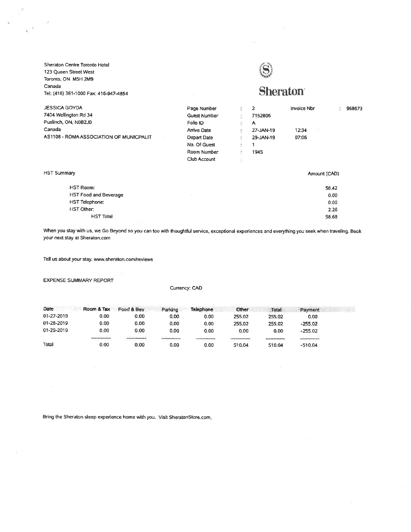Sheraton Centre Toronto Hotel 123 Queen Street West Toronto, ON M5H 2M9 Canada Tel: (416) 361-1000 Fax: 416-947-4854



## **Sheraton**

 $0.00$ 

2.26

58.68

| JESSICA GOYDA                           | Page Number  |               | 2         | Invoice Nbr  |       | 968673 |
|-----------------------------------------|--------------|---------------|-----------|--------------|-------|--------|
| 7404 Wellington Rd 34                   | Guest Number |               | 7152806   |              |       |        |
| Puslinch, ON, N0B2J0                    | Folio ID     | $\mathcal{L}$ | A         |              |       |        |
| Canada                                  | Arrive Date  |               | 27-JAN-19 | 12:34        |       |        |
| AS1108 - ROMA ASSOCIATION OF MUNICPALIT | Depart Date  |               | 29-JAN-19 | 07:06        |       |        |
|                                         | No. Of Guest |               |           |              |       |        |
|                                         | Room Number  |               | 1945      |              |       |        |
|                                         | Club Account |               |           |              |       |        |
| HST Summary                             |              |               |           | Amount (CAD) |       |        |
| <b>HST Room:</b>                        |              |               |           |              | 56.42 |        |
| <b>HST Food and Beverage</b>            |              |               |           |              | 0.00  |        |

When you stay with us, we Go Beyond so you can too with thoughtful service, exceptional experiences and everything you seek when traveling. Book your next stay at Sheraton.com

Tell us about your stay. www.sheraton.com/reviews

**HST Total** 

HST Telephone:

HST Other:

**EXPENSE SUMMARY REPORT** 

Currency: CAD

| Date       | Room & Tax                                   | Food & Bev                                                                | Parking       | <b>Telephone</b>                    | Other                             | Total  | Payment   |  |
|------------|----------------------------------------------|---------------------------------------------------------------------------|---------------|-------------------------------------|-----------------------------------|--------|-----------|--|
| 01-27-2019 | 0.00                                         | 0.00                                                                      | 0.00          | 0.00                                | 255.02                            | 255.02 | 0.00      |  |
| 01-28-2019 | 0.00                                         | 0.00                                                                      | 0.00          | 0.00                                | 255.02                            | 255.02 | $-255.02$ |  |
| 01-29-2019 | 0.00                                         | 0.00                                                                      | 0.00          | 0.00                                | 0.00                              | 0.00   | $-255.02$ |  |
|            | The State of Contract of Con-<br>----------- | <b>CONTRACTOR</b><br>-----------<br>and the control of the control of the | ------------- | ------------<br><b>TANK AND THE</b> | the company's company's company's |        |           |  |
| Total      | 0.00                                         | 0.00                                                                      | 0.00          | 0.00                                | 510.04                            | 510.04 | $-510.04$ |  |

Bring the Sheraton sleep experience home with you. Visit SheratonStore.com.